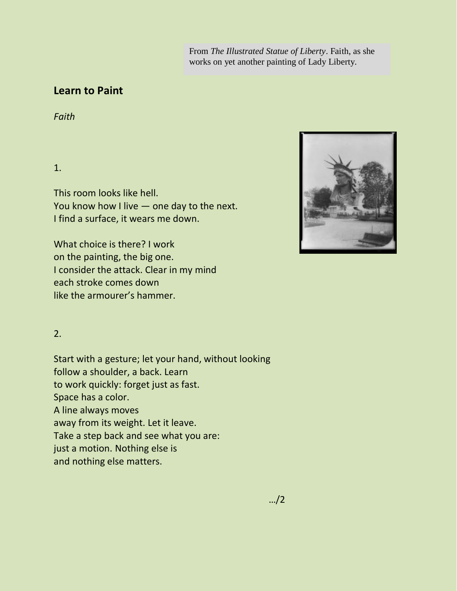From *The Illustrated Statue of Liberty*. Faith, as she works on yet another painting of Lady Liberty.

## **Learn to Paint**

*Faith*

1.

This room looks like hell. You know how I live — one day to the next. I find a surface, it wears me down.

What choice is there? I work on the painting, the big one. I consider the attack. Clear in my mind each stroke comes down like the armourer's hammer.

2.

Start with a gesture; let your hand, without looking follow a shoulder, a back. Learn to work quickly: forget just as fast. Space has a color. A line always moves away from its weight. Let it leave. Take a step back and see what you are: just a motion. Nothing else is and nothing else matters.

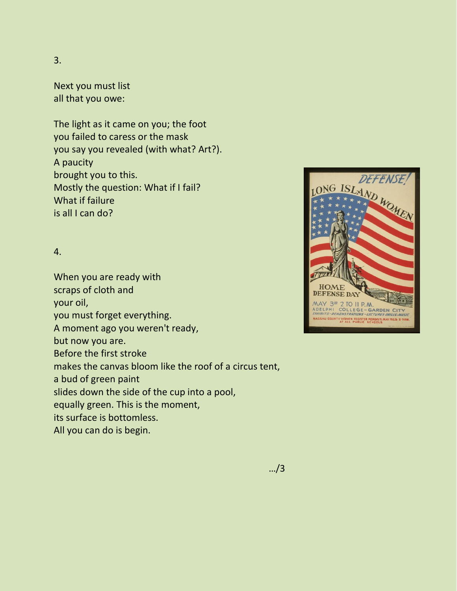## 3.

Next you must list all that you owe:

The light as it came on you; the foot you failed to caress or the mask you say you revealed (with what? Art?). A paucity brought you to this. Mostly the question: What if I fail? What if failure is all I can do?

## 4.

When you are ready with scraps of cloth and your oil, you must forget everything. A moment ago you weren't ready, but now you are. Before the first stroke makes the canvas bloom like the roof of a circus tent, a bud of green paint slides down the side of the cup into a pool, equally green. This is the moment, its surface is bottomless. All you can do is begin.



…/3